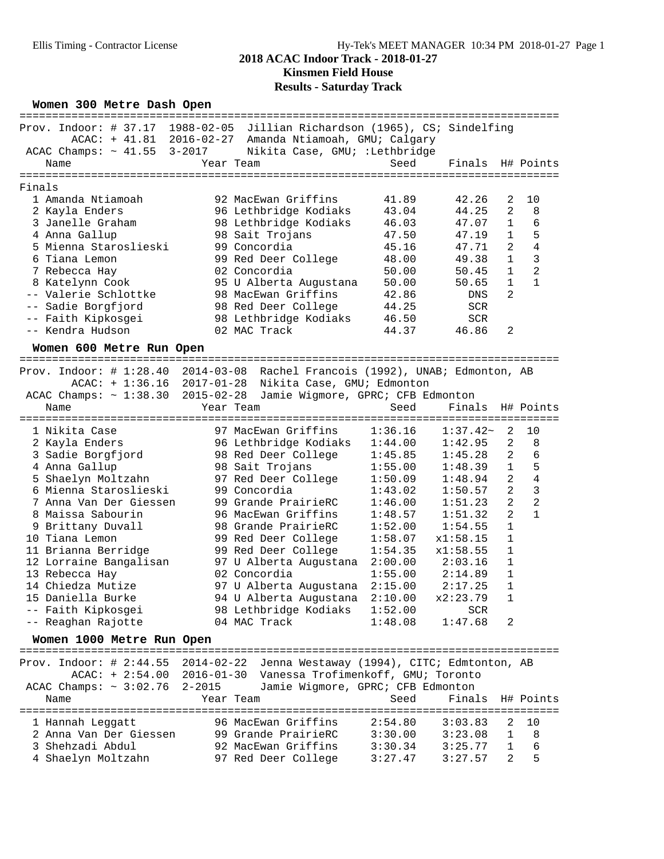## Ellis Timing - Contractor License Hy-Tek's MEET MANAGER 10:34 PM 2018-01-27 Page 1 **2018 ACAC Indoor Track - 2018-01-27 Kinsmen Field House Results - Saturday Track**

### Women 300 Metre Dash Open

|        | nomen 500 neere babn open        |           |                                                                               |         |                  |                |                |
|--------|----------------------------------|-----------|-------------------------------------------------------------------------------|---------|------------------|----------------|----------------|
|        |                                  |           | Prov. Indoor: # 37.17 1988-02-05 Jillian Richardson (1965), CS; Sindelfing    |         |                  |                |                |
|        |                                  |           | ACAC: + 41.81 2016-02-27 Amanda Ntiamoah, GMU; Calgary                        |         |                  |                |                |
|        | ACAC Champs: $\sim 41.55$ 3-2017 |           | Nikita Case, GMU; : Lethbridge                                                |         |                  |                |                |
|        | Name                             |           | Year Team                                                                     | Seed    | Finals H# Points |                |                |
|        |                                  |           |                                                                               |         |                  |                |                |
| Finals |                                  |           |                                                                               |         |                  |                |                |
|        | 1 Amanda Ntiamoah                |           | 92 MacEwan Griffins                                                           | 41.89   | 42.26            | 2              | 10             |
|        | 2 Kayla Enders                   |           | 96 Lethbridge Kodiaks                                                         | 43.04   | 44.25            | $\overline{2}$ | 8              |
|        | 3 Janelle Graham                 |           | 98 Lethbridge Kodiaks                                                         | 46.03   | 47.07            | $\mathbf{1}$   | 6              |
|        | 4 Anna Gallup                    |           | 98 Sait Trojans                                                               | 47.50   | 47.19            | 1              | 5              |
|        | 5 Mienna Staroslieski            |           | 99 Concordia                                                                  | 45.16   | 47.71            | $\overline{2}$ | $\overline{4}$ |
|        | 6 Tiana Lemon                    |           | 99 Red Deer College                                                           | 48.00   | 49.38            | $\mathbf{1}$   | 3              |
|        | 7 Rebecca Hay                    |           | 02 Concordia                                                                  | 50.00   | 50.45            | $\mathbf{1}$   | $\overline{2}$ |
|        | 8 Katelynn Cook                  |           | 95 U Alberta Augustana                                                        | 50.00   | 50.65            | $\mathbf 1$    | $\mathbf{1}$   |
|        | -- Valerie Schlottke             |           | 98 MacEwan Griffins                                                           | 42.86   | DNS              | $\overline{2}$ |                |
|        | -- Sadie Borgfjord               |           | 98 Red Deer College                                                           | 44.25   | <b>SCR</b>       |                |                |
|        | -- Faith Kipkosgei               |           | 98 Lethbridge Kodiaks                                                         | 46.50   | <b>SCR</b>       |                |                |
|        | -- Kendra Hudson                 |           | 02 MAC Track                                                                  | 44.37   | 46.86            | 2              |                |
|        |                                  |           |                                                                               |         |                  |                |                |
|        | Women 600 Metre Run Open         |           |                                                                               |         |                  |                |                |
|        |                                  |           | Prov. Indoor: # 1:28.40 2014-03-08 Rachel Francois (1992), UNAB; Edmonton, AB |         |                  |                |                |
|        |                                  |           | ACAC: + 1:36.16 2017-01-28 Nikita Case, GMU; Edmonton                         |         |                  |                |                |
|        |                                  |           | ACAC Champs: ~ 1:38.30 2015-02-28 Jamie Wigmore, GPRC; CFB Edmonton           |         |                  |                |                |
|        | Name                             | Year Team |                                                                               | Seed    | Finals H# Points |                |                |
|        |                                  |           |                                                                               |         |                  |                |                |
|        | 1 Nikita Case                    |           |                                                                               | 1:36.16 | $1:37.42-$       | $\overline{2}$ | 10             |
|        | 2 Kayla Enders                   |           | 97 MacEwan Griffins<br>96 Lethbridge Kodiaks                                  | 1:44.00 | 1:42.95          | $\overline{a}$ | 8              |
|        | 3 Sadie Borgfjord                |           | 98 Red Deer College 1:45.85                                                   |         | 1:45.28          | $\overline{2}$ | 6              |
|        | 4 Anna Gallup                    |           | 98 Sait Trojans             1:55.00<br>97 Red Deer College       1:50.09      |         | 1:48.39          | $\mathbf{1}$   | 5              |
|        | 5 Shaelyn Moltzahn               |           |                                                                               |         | 1:48.94          | 2              | $\overline{4}$ |
|        | 6 Mienna Staroslieski            |           | 99 Concordia                                                                  | 1:43.02 | 1:50.57          | $\overline{2}$ | $\mathbf{3}$   |
|        | 7 Anna Van Der Giessen           |           | 99 Grande PrairieRC                                                           | 1:46.00 | 1:51.23          | $\overline{2}$ | $\overline{a}$ |
|        | 8 Maissa Sabourin                |           | 96 MacEwan Griffins                                                           | 1:48.57 | 1:51.32          | $\overline{2}$ | $\mathbf{1}$   |
|        | 9 Brittany Duvall                |           | 98 Grande PrairieRC                                                           | 1:52.00 | 1:54.55          | 1              |                |
|        | 10 Tiana Lemon                   |           | 99 Red Deer College                                                           | 1:58.07 | x1:58.15         | $\mathbf{1}$   |                |
|        | 11 Brianna Berridge              |           | 99 Red Deer College                                                           | 1:54.35 | x1:58.55         | $\mathbf{1}$   |                |
|        | 12 Lorraine Bangalisan           |           | 97 U Alberta Augustana 2:00.00                                                |         | 2:03.16          | $\mathbf{1}$   |                |
|        | 13 Rebecca Hay                   |           | 02 Concordia                                                                  | 1:55.00 | 2:14.89          | 1              |                |
|        | 14 Chiedza Mutize                |           | 97 U Alberta Augustana 2:15.00                                                |         | 2:17.25          | $\mathbf{1}$   |                |
|        | 15 Daniella Burke                |           | 94 U Alberta Augustana 2:10.00                                                |         | x2:23.79         | $\mathbf 1$    |                |
|        | -- Faith Kipkosgei               |           | 98 Lethbridge Kodiaks                                                         | 1:52.00 | <b>SCR</b>       |                |                |
|        | -- Reaghan Rajotte               |           | 04 MAC Track                                                                  | 1:48.08 | 1:47.68          | 2              |                |
|        | Women 1000 Metre Run Open        |           |                                                                               |         |                  |                |                |
|        |                                  |           |                                                                               |         |                  |                |                |
|        |                                  |           |                                                                               |         |                  |                |                |

|                    | Prov. Indoor: $\#$ 2:44.55 2014-02-22 |           | Jenna Westaway (1994), CITC; Edmtonton, AB                    |         |                       |              |      |
|--------------------|---------------------------------------|-----------|---------------------------------------------------------------|---------|-----------------------|--------------|------|
|                    |                                       |           | ACAC: + 2:54.00 2016-01-30 Vanessa Trofimenkoff, GMU; Toronto |         |                       |              |      |
|                    | ACAC Champs: $\sim 3:02.76$ 2-2015    |           | Jamie Wigmore, GPRC; CFB Edmonton                             |         |                       |              |      |
| Name               |                                       | Year Team |                                                               |         | Seed Finals H# Points |              |      |
|                    |                                       |           |                                                               |         |                       |              |      |
| 1 Hannah Leggatt   |                                       |           | 96 MacEwan Griffins                                           | 2:54.80 | 3:03.83               |              | 2 10 |
|                    | 2 Anna Van Der Giessen                |           | 99 Grande PrairieRC                                           | 3:30.00 | 3:23.08               | $\mathbf{1}$ | - 8  |
| 3 Shehzadi Abdul   |                                       |           | 92 MacEwan Griffins                                           | 3:30.34 | 3:25.77               | $\mathbf{1}$ | -6   |
| 4 Shaelyn Moltzahn |                                       |           | 97 Red Deer College                                           | 3:27.47 | 3:27.57               | 2            | 5    |
|                    |                                       |           |                                                               |         |                       |              |      |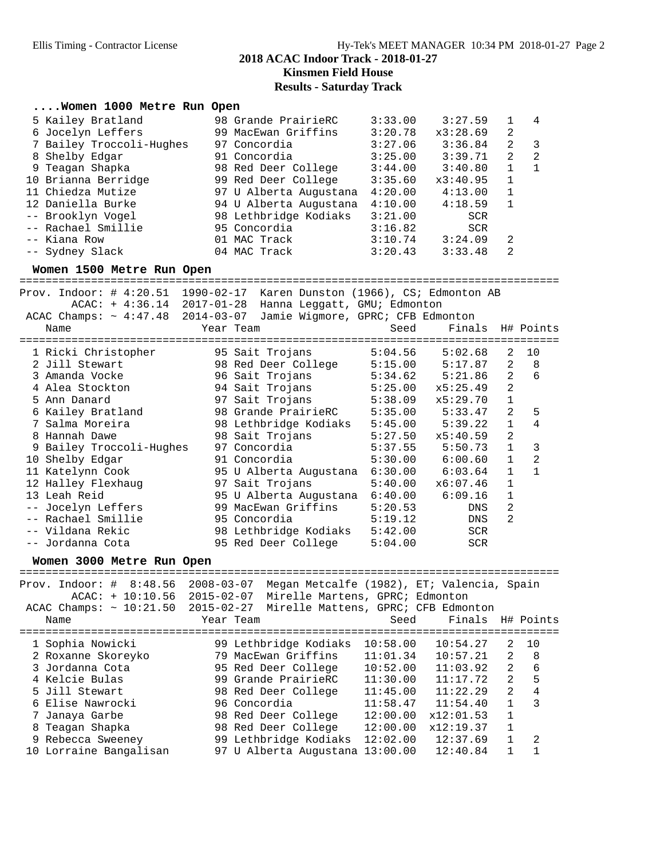## **Kinsmen Field House Results - Saturday Track**

### **....Women 1000 Metre Run Open**

| 5 Kailey Bratland        | 98 Grande PrairieRC    | 3:33.00 | 3:27.59    | 1            | $\overline{4}$ |
|--------------------------|------------------------|---------|------------|--------------|----------------|
| 6 Jocelyn Leffers        | 99 MacEwan Griffins    | 3:20.78 | x3:28.69   | 2            |                |
| 7 Bailey Troccoli-Hughes | 97 Concordia           | 3:27.06 | 3:36.84    | 2            | - 3            |
| 8 Shelby Edgar           | 91 Concordia           | 3:25.00 | 3:39.71    | 2            | -2             |
| 9 Teagan Shapka          | 98 Red Deer College    | 3:44.00 | 3:40.80    | $\mathbf{1}$ | 1              |
| 10 Brianna Berridge      | 99 Red Deer College    | 3:35.60 | x3:40.95   | 1            |                |
| 11 Chiedza Mutize        | 97 U Alberta Augustana | 4:20.00 | 4:13.00    | $\mathbf{1}$ |                |
| 12 Daniella Burke        | 94 U Alberta Augustana | 4:10.00 | 4:18.59    | $\mathbf{1}$ |                |
| -- Brooklyn Vogel        | 98 Lethbridge Kodiaks  | 3:21.00 | <b>SCR</b> |              |                |
| -- Rachael Smillie       | 95 Concordia           | 3:16.82 | <b>SCR</b> |              |                |
| -- Kiana Row             | 01 MAC Track           | 3:10.74 | 3:24.09    | 2            |                |
| -- Sydney Slack          | 04 MAC Track           | 3:20.43 | 3:33.48    | 2            |                |

**Women 1500 Metre Run Open** =================================================================================== Prov. Indoor: # 4:20.51 1990-02-17 Karen Dunston (1966), CS; Edmonton AB ACAC: + 4:36.14 2017-01-28 Hanna Leggatt, GMU; Edmonton ACAC Champs: ~ 4:47.48 2014-03-07 Jamie Wigmore, GPRC; CFB Edmonton Name Tear Team Seed Finals H# Points =================================================================================== 1 Ricki Christopher 95 Sait Trojans 5:04.56 5:02.68 2 10 2 Jill Stewart 98 Red Deer College 5:15.00 5:17.87 2 8 3 Amanda Vocke 96 Sait Trojans 5:34.62 5:21.86 2 6 4 Alea Stockton 94 Sait Trojans 5:25.00 x5:25.49 2 5 Ann Danard 97 Sait Trojans 5:38.09 x5:29.70 1 6 Kailey Bratland 98 Grande PrairieRC 5:35.00 5:33.47 2 5 7 Salma Moreira 98 Lethbridge Kodiaks 5:45.00 5:39.22 1 4 8 Hannah Dawe 98 Sait Trojans 5:27.50 x5:40.59 2 9 Bailey Troccoli-Hughes 97 Concordia 5:37.55 5:50.73 1 3 10 Shelby Edgar 91 Concordia 5:30.00 6:00.60 1 2 11 Katelynn Cook 95 U Alberta Augustana 6:30.00 6:03.64 1 1 12 Halley Flexhaug 97 Sait Trojans 5:40.00 x6:07.46 1 13 Leah Reid 95 U Alberta Augustana 6:40.00 6:09.16 1 -- Jocelyn Leffers 99 MacEwan Griffins 5:20.53 DNS 2 -- Rachael Smillie 95 Concordia 5:19.12 DNS 2 -- Vildana Rekic 98 Lethbridge Kodiaks 5:42.00 SCR -- Jordanna Cota 95 Red Deer College 5:04.00 SCR **Women 3000 Metre Run Open** =================================================================================== Prov. Indoor: # 8:48.56 2008-03-07 Megan Metcalfe (1982), ET; Valencia, Spain ACAC: + 10:10.56 2015-02-07 Mirelle Martens, GPRC; Edmonton ACAC Champs: ~ 10:21.50 2015-02-27 Mirelle Mattens, GPRC; CFB Edmonton<br>Year Team Seed Finals Seed Finals H# Points

| 1 Sophia Nowicki       | 99 Lethbridge Kodiaks           | 10:58.00 | 10:54.27  | 2              | 10 |
|------------------------|---------------------------------|----------|-----------|----------------|----|
| 2 Roxanne Skoreyko     | 79 MacEwan Griffins             | 11:01.34 | 10:57.21  | 2              | 8  |
| 3 Jordanna Cota        | 95 Red Deer College             | 10:52.00 | 11:03.92  | $\overline{2}$ | 6  |
| 4 Kelcie Bulas         | 99 Grande PrairieRC             | 11:30.00 | 11:17.72  | 2              | 5  |
| 5 Jill Stewart         | 98 Red Deer College             | 11:45.00 | 11:22.29  | $\overline{2}$ | 4  |
| 6 Elise Nawrocki       | 96 Concordia                    | 11:58.47 | 11:54.40  |                | 3  |
| 7 Janaya Garbe         | 98 Red Deer College             | 12:00.00 | x12:01.53 |                |    |
| 8 Teagan Shapka        | 98 Red Deer College             | 12:00.00 | x12:19.37 | $\mathbf{1}$   |    |
| 9 Rebecca Sweeney      | 99 Lethbridge Kodiaks           | 12:02.00 | 12:37.69  |                | -2 |
| 10 Lorraine Bangalisan | 97 U Alberta Augustana 13:00.00 |          | 12:40.84  |                |    |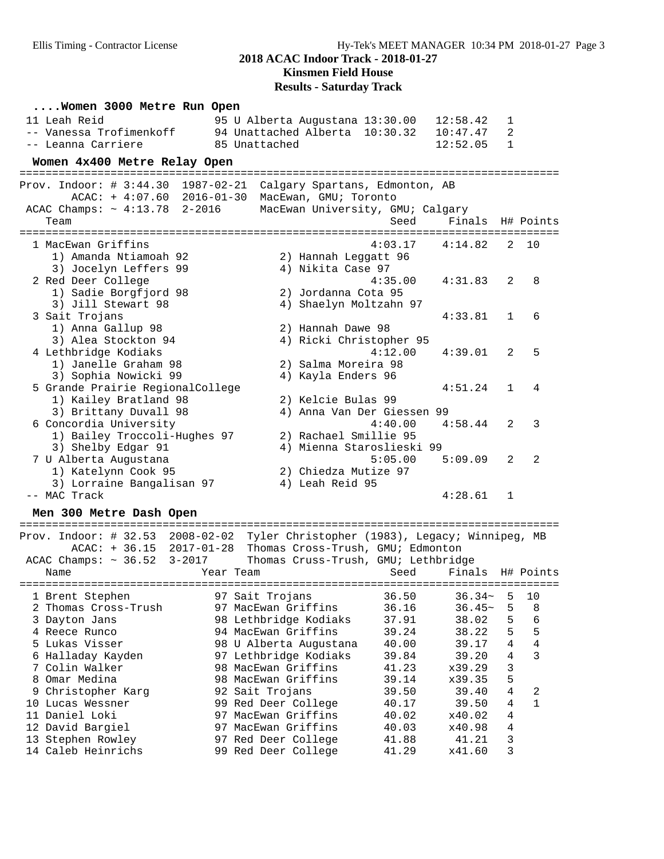### **2018 ACAC Indoor Track - 2018-01-27 Kinsmen Field House**

## **Results - Saturday Track**

| Women 3000 Metre Run Open                                         |                                                                              |                   |
|-------------------------------------------------------------------|------------------------------------------------------------------------------|-------------------|
| 11 Leah Reid                                                      | 95 U Alberta Augustana 13:30.00<br>12:58.42<br>1                             |                   |
| -- Vanessa Trofimenkoff                                           | 94 Unattached Alberta 10:30.32<br>10:47.47                                   | $\overline{2}$    |
| -- Leanna Carriere                                                | $\mathbf{1}$<br>85 Unattached<br>12:52.05                                    |                   |
| Women 4x400 Metre Relay Open                                      |                                                                              |                   |
| Prov. Indoor: # 3:44.30 1987-02-21 Calgary Spartans, Edmonton, AB |                                                                              |                   |
| $ACAC: + 4:07.60 2016-01-30$                                      | MacEwan, GMU; Toronto                                                        |                   |
| ACAC Champs: $\sim 4:13.78$ 2-2016                                | MacEwan University, GMU; Calgary                                             |                   |
| Team                                                              | Seed<br>Finals H# Points                                                     |                   |
| 1 MacEwan Griffins                                                | 4:03.17<br>4:14.82                                                           | 2<br>10           |
| 1) Amanda Ntiamoah 92                                             | 2) Hannah Leggatt 96                                                         |                   |
| 3) Jocelyn Leffers 99                                             | 4) Nikita Case 97                                                            |                   |
| 2 Red Deer College                                                | 4:35.00<br>4:31.83                                                           | 2<br>8            |
| 1) Sadie Borgfjord 98                                             | 2) Jordanna Cota 95                                                          |                   |
| 3) Jill Stewart 98                                                | 4) Shaelyn Moltzahn 97                                                       |                   |
| 3 Sait Trojans                                                    | 4:33.81                                                                      | $\mathbf{1}$<br>6 |
| 1) Anna Gallup 98                                                 | 2) Hannah Dawe 98                                                            |                   |
| 3) Alea Stockton 94                                               | 4) Ricki Christopher 95                                                      |                   |
| 4 Lethbridge Kodiaks                                              | 4:12.00<br>4:39.01                                                           | 5<br>2            |
| 1) Janelle Graham 98                                              | 2) Salma Moreira 98                                                          |                   |
| 3) Sophia Nowicki 99                                              | 4) Kayla Enders 96                                                           |                   |
| 5 Grande Prairie RegionalCollege                                  | 4:51.24<br>$\mathbf{1}$                                                      | 4                 |
| 1) Kailey Bratland 98                                             | 2) Kelcie Bulas 99                                                           |                   |
| 3) Brittany Duvall 98                                             | 4) Anna Van Der Giessen 99                                                   | $\mathcal{E}$     |
| 6 Concordia University                                            | 4:40.00<br>4:58.44                                                           | 2                 |
| 1) Bailey Troccoli-Hughes 97                                      | 2) Rachael Smillie 95<br>4) Mienna Staroslieski 99                           |                   |
| 3) Shelby Edgar 91<br>7 U Alberta Augustana                       | 5:05.00<br>5:09.09<br>2                                                      | 2                 |
| 1) Katelynn Cook 95                                               | 2) Chiedza Mutize 97                                                         |                   |
| 3) Lorraine Bangalisan 97                                         | 4) Leah Reid 95                                                              |                   |
| -- MAC Track                                                      | 4:28.61<br>$\mathbf{1}$                                                      |                   |
|                                                                   |                                                                              |                   |
| Men 300 Metre Dash Open                                           |                                                                              |                   |
|                                                                   | Prov Indoor: # 32 53 2008-02-02 Tyler Christopher (1983) Legacy: Winnipeg MR |                   |

| Prov. Indoor: # 32.53            | 2008-02-02<br>Tyler Christopher (1983), Legacy; Winnipeg, MB |                    |                  |    |    |
|----------------------------------|--------------------------------------------------------------|--------------------|------------------|----|----|
| $ACAC: + 36.15 2017-01-28$       | Thomas Cross-Trush, GMU; Edmonton                            |                    |                  |    |    |
| ACAC Champs: $\sim 36.52$ 3-2017 | Thomas Cruss-Trush, GMU; Lethbridge                          |                    |                  |    |    |
| Name                             | Year Team                                                    | Seed               | Finals H# Points |    |    |
|                                  |                                                              | ------------------ |                  |    |    |
| 1 Brent Stephen                  | 97 Sait Trojans                                              | 36.50              | $36.34-$         | 5. | 10 |
| 2 Thomas Cross-Trush             | 97 MacEwan Griffins                                          | 36.16              | $36.45-$         | 5  | 8  |
| 3 Dayton Jans                    | 98 Lethbridge Kodiaks                                        | 37.91              | 38.02            | 5  | 6  |
| 4 Reece Runco                    | 94 MacEwan Griffins                                          | 39.24              | 38.22            | 5  | 5  |
| 5 Lukas Visser                   | 98 U Alberta Augustana                                       | 40.00              | 39.17            | 4  | 4  |
| 6 Halladay Kayden                | 97 Lethbridge Kodiaks                                        | 39.84              | 39.20            | 4  | 3  |
| 7 Colin Walker                   | 98 MacEwan Griffins                                          | 41.23              | x39.29           | 3  |    |
| 8 Omar Medina                    | 98 MacEwan Griffins                                          | 39.14              | x39.35           | 5  |    |
| 9 Christopher Karg               | 92 Sait Trojans                                              | 39.50              | 39.40            | 4  | 2  |
| 10 Lucas Wessner                 | 99 Red Deer College                                          | 40.17              | 39.50            | 4  | 1  |
| 11 Daniel Loki                   | MacEwan Griffins<br>97                                       | 40.02              | x40.02           | 4  |    |
| 12 David Bargiel                 | 97 MacEwan Griffins                                          | 40.03              | x40.98           | 4  |    |
| 13 Stephen Rowley                | 97 Red Deer College                                          | 41.88              | 41.21            | 3  |    |
| 14 Caleb Heinrichs               | 99 Red Deer College                                          | 41.29              | x41.60           | 3  |    |
|                                  |                                                              |                    |                  |    |    |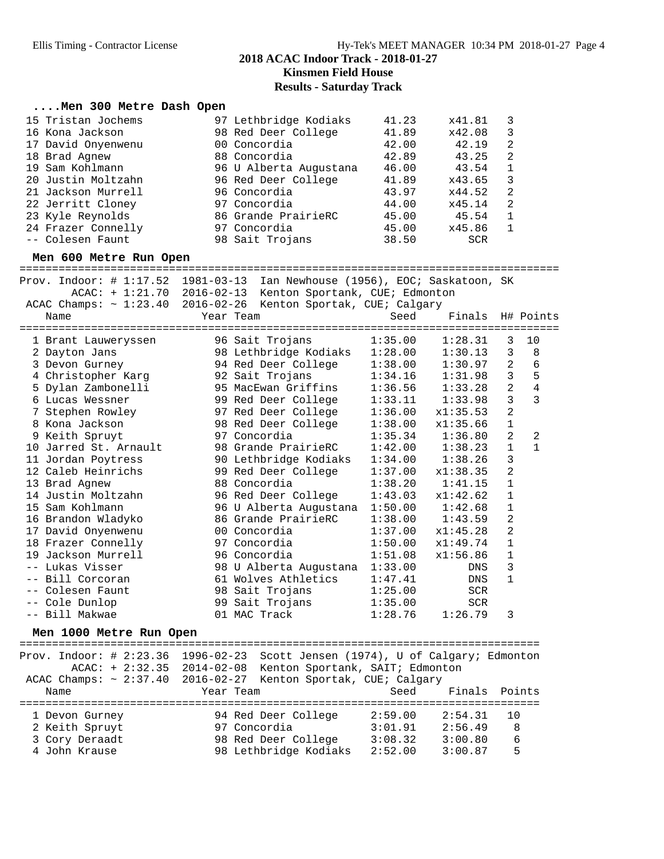## **2018 ACAC Indoor Track - 2018-01-27 Kinsmen Field House**

### **Results - Saturday Track**

### **....Men 300 Metre Dash Open**

| 15 Tristan Jochems | 97 Lethbridge Kodiaks  | 41.23 | x41.81     |                |
|--------------------|------------------------|-------|------------|----------------|
| 16 Kona Jackson    | 98 Red Deer College    | 41.89 | x42.08     | 3              |
| 17 David Onyenwenu | 00 Concordia           | 42.00 | 42.19      | $\mathfrak{D}$ |
| 18 Brad Agnew      | 88 Concordia           | 42.89 | 43.25      | 2              |
| 19 Sam Kohlmann    | 96 U Alberta Augustana | 46.00 | 43.54      |                |
| 20 Justin Moltzahn | 96 Red Deer College    | 41.89 | x43.65     | 3              |
| 21 Jackson Murrell | 96 Concordia           | 43.97 | x44.52     | -2             |
| 22 Jerritt Cloney  | 97 Concordia           | 44.00 | x45.14     | 2              |
| 23 Kyle Reynolds   | 86 Grande PrairieRC    | 45.00 | 45.54      |                |
| 24 Frazer Connelly | 97 Concordia           | 45.00 | x45.86     |                |
| -- Colesen Faunt   | 98 Sait Trojans        | 38.50 | <b>SCR</b> |                |

**Men 600 Metre Run Open** =================================================================================== Prov. Indoor: # 1:17.52 1981-03-13 Ian Newhouse (1956), EOC; Saskatoon, SK

|                         | ACAC: + 1:21.70 2016-02-13 Kenton Sportank, CUE; Edmonton                                             |                |                       |                |                |
|-------------------------|-------------------------------------------------------------------------------------------------------|----------------|-----------------------|----------------|----------------|
| Name                    | ACAC Champs: $\sim 1:23.40$ 2016-02-26 Kenton Sportak, CUE; Calgary<br>Year Team<br>========          | ============== | Seed Finals H# Points |                |                |
| 1 Brant Lauweryssen     | 96 Sait Trojans                                                                                       | 1:35.00        | 1:28.31               | 3              | 10             |
| 2 Dayton Jans           | 98 Lethbridge Kodiaks 1:28.00 1:30.13                                                                 |                |                       | 3              | 8              |
| 3 Devon Gurney          | 94 Red Deer College 1:38.00                                                                           |                | 1:30.97               | $\overline{a}$ | $\epsilon$     |
| 4 Christopher Karg      | 92 Sait Trojans                                                                                       | 1:34.16        | 1:31.98               | 3              | 5              |
| 5 Dylan Zambonelli      | 95 MacEwan Griffins                                                                                   | 1:36.56        | 1:33.28               | $\overline{a}$ | $\overline{4}$ |
| 6 Lucas Wessner         | 99 Red Deer College 1:33.11                                                                           |                | 1:33.98               | $\overline{3}$ | 3              |
| 7 Stephen Rowley        | 97 Red Deer College 1:36.00                                                                           |                | x1:35.53              | $\overline{a}$ |                |
| 8 Kona Jackson          | 98 Red Deer College                                                                                   | 1:38.00        | x1:35.66              | $\mathbf 1$    |                |
| 9 Keith Spruyt          | 97 Concordia                                                                                          | 1:35.34        | 1:36.80               | $\overline{a}$ | 2              |
| 10 Jarred St. Arnault   | 98 Grande PrairieRC                                                                                   | 1:42.00        | 1:38.23               | $\mathbf{1}$   | $\mathbf{1}$   |
| 11 Jordan Poytress      | 90 Lethbridge Kodiaks                                                                                 | 1:34.00        | 1:38.26               | 3              |                |
| 12 Caleb Heinrichs      | 99 Red Deer College                                                                                   | 1:37.00        | x1:38.35              | $\overline{a}$ |                |
| 13 Brad Agnew           | 88 Concordia                                                                                          | 1:38.20        | 1:41.15               | $\mathbf{1}$   |                |
| 14 Justin Moltzahn      | 96 Red Deer College                                                                                   | 1:43.03        | x1:42.62              | $\mathbf{1}$   |                |
| 15 Sam Kohlmann         | 96 U Alberta Augustana 1:50.00                                                                        |                | 1:42.68               | $\mathbf 1$    |                |
| 16 Brandon Wladyko      | 86 Grande PrairieRC                                                                                   | 1:38.00        | 1:43.59               | $\overline{a}$ |                |
| 17 David Onyenwenu      | 00 Concordia                                                                                          | 1:37.00        | x1:45.28              | $\overline{2}$ |                |
| 18 Frazer Connelly      | 97 Concordia                                                                                          | 1:50.00        | x1:49.74              | $\mathbf 1$    |                |
| 19 Jackson Murrell      | 96 Concordia                                                                                          | 1:51.08        | x1:56.86              | $\mathbf{1}$   |                |
| -- Lukas Visser         | 98 U Alberta Augustana 1:33.00                                                                        |                | DNS                   | 3              |                |
| -- Bill Corcoran        | 61 Wolves Athletics                                                                                   | 1:47.41        | DNS                   | $\mathbf{1}$   |                |
| -- Colesen Faunt        | 98 Sait Trojans                                                                                       | 1:25.00        | <b>SCR</b>            |                |                |
| -- Cole Dunlop          | 99 Sait Trojans                                                                                       | 1:35.00        | <b>SCR</b>            |                |                |
| -- Bill Makwae          | 01 MAC Track                                                                                          | 1:28.76        | 1:26.79               | 3              |                |
| Men 1000 Metre Run Open |                                                                                                       |                |                       |                |                |
|                         | ================<br>$Error\_Indoor: # 2:23.36 1996-02-23 560t + Japan (1974) 11 of Calcary: Fdmonton$ |                |                       |                |                |

ndoor: # 2:23.36 1996-02-23 Scott Jensen (1974), U of Calgary; Edmonton ACAC: + 2:32.35 2014-02-08 Kenton Sportank, SAIT; Edmonton ACAC Champs: ~ 2:37.40 2016-02-27 Kenton Sportak, CUE; Calgary Name Year Team Seed Finals Points ================================================================================ 1 Devon Gurney 94 Red Deer College 2:59.00 2:54.31 10 2 Keith Spruyt 97 Concordia 3:01.91 2:56.49 8 3 Cory Deraadt 98 Red Deer College 3:08.32 3:00.80 6 4 John Krause 98 Lethbridge Kodiaks 2:52.00 3:00.87 5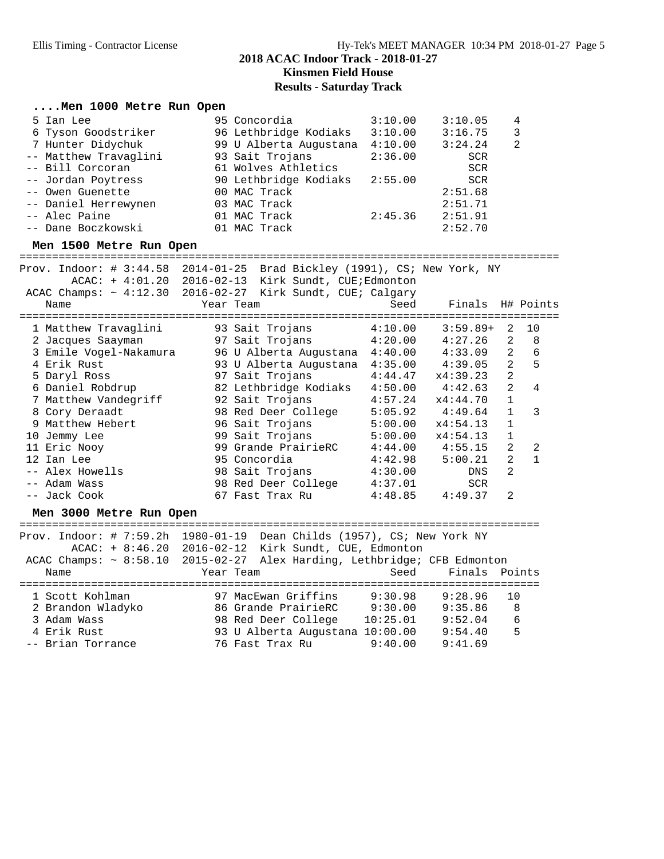## **Results - Saturday Track**

### **....Men 1000 Metre Run Open**

| 5 Ian Lee             | 95 Concordia           | 3:10.00 | 3:10.05    | 4 |
|-----------------------|------------------------|---------|------------|---|
| 6 Tyson Goodstriker   | 96 Lethbridge Kodiaks  | 3:10.00 | 3:16.75    | 3 |
| 7 Hunter Didychuk     | 99 U Alberta Augustana | 4:10.00 | 3:24.24    | 2 |
| -- Matthew Travaglini | 93 Sait Trojans        | 2:36.00 | <b>SCR</b> |   |
| -- Bill Corcoran      | 61 Wolves Athletics    |         | SCR        |   |
| -- Jordan Poytress    | 90 Lethbridge Kodiaks  | 2:55.00 | SCR        |   |
| -- Owen Guenette      | 00 MAC Track           |         | 2:51.68    |   |
| -- Daniel Herrewynen  | 03 MAC Track           |         | 2:51.71    |   |
| -- Alec Paine         | 01 MAC Track           | 2:45.36 | 2:51.91    |   |
| -- Dane Boczkowski    | 01 MAC Track           |         | 2:52.70    |   |

**Men 1500 Metre Run Open** ===================================================================================

| Prov. Indoor: $\#$ 3:44.58<br>$ACAC: + 4:01.20$ | 2014-01-25 Brad Bickley (1991), CS; New York, NY<br>2016-02-13 Kirk Sundt, CUE;Edmonton |                         |                  |                |    |
|-------------------------------------------------|-----------------------------------------------------------------------------------------|-------------------------|------------------|----------------|----|
|                                                 | ACAC Champs: $\sim 4:12.30$ 2016-02-27 Kirk Sundt, CUE; Calgary                         |                         |                  |                |    |
| Name                                            | Year Team                                                                               | Seed                    | Finals H# Points |                |    |
| 1 Matthew Travaglini                            | 93 Sait Trojans                                                                         | ============<br>4:10.00 | $3:59.89+$       | 2              | 10 |
| 2 Jacques Saayman                               | 97 Sait Trojans                                                                         | 4:20.00                 | 4:27.26          | 2              | 8  |
| 3 Emile Voqel-Nakamura                          | 96 U Alberta Augustana 4:40.00                                                          |                         | 4:33.09          | 2              | 6  |
| 4 Erik Rust                                     | 93 U Alberta Augustana                                                                  | 4:35.00                 | 4:39.05          | 2              | 5  |
| 5 Daryl Ross                                    | 97 Sait Trojans                                                                         | 4:44.47                 | x4:39.23         | 2              |    |
| 6 Daniel Robdrup                                | 82 Lethbridge Kodiaks                                                                   | 4:50.00                 | 4:42.63          | $\overline{a}$ | 4  |
| 7 Matthew Vandegriff                            | 92 Sait Trojans                                                                         | 4:57.24                 | x4:44.70         | $\mathbf{1}$   |    |
| 8 Cory Deraadt                                  | 98 Red Deer College                                                                     | 5:05.92                 | 4:49.64          | $\mathbf{1}$   | 3  |
| 9 Matthew Hebert                                | 96 Sait Trojans                                                                         | 5:00.00                 | x4:54.13         | $\mathbf 1$    |    |
| 10 Jemmy Lee                                    | 99 Sait Trojans                                                                         | 5:00.00                 | x4:54.13         | $\mathbf{1}$   |    |
| 11 Eric Nooy                                    | 99 Grande PrairieRC                                                                     | 4:44.00                 | 4:55.15          | 2              | 2  |
| 12 Ian Lee                                      | 95 Concordia                                                                            | 4:42.98                 | 5:00.21          | 2              | 1  |
| -- Alex Howells                                 | 98 Sait Trojans                                                                         | 4:30.00                 | DNS              | $\overline{2}$ |    |
| -- Adam Wass                                    | 98 Red Deer College                                                                     | 4:37.01                 | <b>SCR</b>       |                |    |
| -- Jack Cook                                    | 67 Fast Trax Ru                                                                         | 4:48.85                 | 4:49.37          | 2              |    |

**Men 3000 Metre Run Open** ================================================================================ Prov. Indoor: # 7:59.2h 1980-01-19 Dean Childs (1957), CS; New York NY ACAC: + 8:46.20 2016-02-12 Kirk Sundt, CUE, Edmonton ACAC Champs: ~ 8:58.10 2015-02-27 Alex Harding, Lethbridge; CFB Edmonton Name Year Team Seed Finals Points ================================================================================ 1 Scott Kohlman 97 MacEwan Griffins 9:30.98 9:28.96 10 2 Brandon Wladyko 86 Grande PrairieRC 9:30.00 9:35.86 8 3 Adam Wass 98 Red Deer College 10:25.01 9:52.04 6 4 Erik Rust 93 U Alberta Augustana 10:00.00 9:54.40 5 -- Brian Torrance 76 Fast Trax Ru 9:40.00 9:41.69